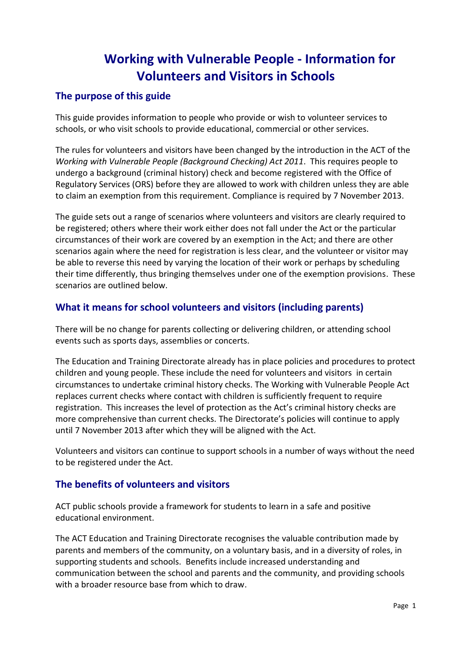# **Working with Vulnerable People - Information for Volunteers and Visitors in Schools**

# **The purpose of this guide**

This guide provides information to people who provide or wish to volunteer services to schools, or who visit schools to provide educational, commercial or other services.

The rules for volunteers and visitors have been changed by the introduction in the ACT of the *Working with Vulnerable People (Background Checking) Act 2011*. This requires people to undergo a background (criminal history) check and become registered with the Office of Regulatory Services (ORS) before they are allowed to work with children unless they are able to claim an exemption from this requirement. Compliance is required by 7 November 2013.

The guide sets out a range of scenarios where volunteers and visitors are clearly required to be registered; others where their work either does not fall under the Act or the particular circumstances of their work are covered by an exemption in the Act; and there are other scenarios again where the need for registration is less clear, and the volunteer or visitor may be able to reverse this need by varying the location of their work or perhaps by scheduling their time differently, thus bringing themselves under one of the exemption provisions. These scenarios are outlined below.

# **What it means for school volunteers and visitors (including parents)**

There will be no change for parents collecting or delivering children, or attending school events such as sports days, assemblies or concerts.

The Education and Training Directorate already has in place policies and procedures to protect children and young people. These include the need for volunteers and visitors in certain circumstances to undertake criminal history checks. The Working with Vulnerable People Act replaces current checks where contact with children is sufficiently frequent to require registration. This increases the level of protection as the Act's criminal history checks are more comprehensive than current checks. The Directorate's policies will continue to apply until 7 November 2013 after which they will be aligned with the Act.

Volunteers and visitors can continue to support schools in a number of ways without the need to be registered under the Act.

## **The benefits of volunteers and visitors**

ACT public schools provide a framework for students to learn in a safe and positive educational environment.

The ACT Education and Training Directorate recognises the valuable contribution made by parents and members of the community, on a voluntary basis, and in a diversity of roles, in supporting students and schools. Benefits include increased understanding and communication between the school and parents and the community, and providing schools with a broader resource base from which to draw.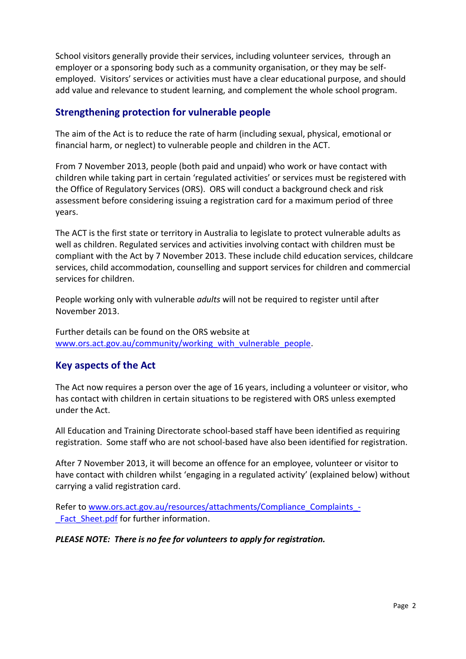School visitors generally provide their services, including volunteer services, through an employer or a sponsoring body such as a community organisation, or they may be selfemployed. Visitors' services or activities must have a clear educational purpose, and should add value and relevance to student learning, and complement the whole school program.

# **Strengthening protection for vulnerable people**

The aim of the Act is to reduce the rate of harm (including sexual, physical, emotional or financial harm, or neglect) to vulnerable people and children in the ACT.

From 7 November 2013, people (both paid and unpaid) who work or have contact with children while taking part in certain 'regulated activities' or services must be registered with the Office of Regulatory Services (ORS). ORS will conduct a background check and risk assessment before considering issuing a registration card for a maximum period of three years.

The ACT is the first state or territory in Australia to legislate to protect vulnerable adults as well as children. Regulated services and activities involving contact with children must be compliant with the Act by 7 November 2013. These include child education services, childcare services, child accommodation, counselling and support services for children and commercial services for children.

People working only with vulnerable *adults* will not be required to register until after November 2013.

Further details can be found on the ORS website at [www.ors.act.gov.au/community/working\\_with\\_vulnerable\\_people.](http://www.ors.act.gov.au/community/working_with_vulnerable_people)

# **Key aspects of the Act**

The Act now requires a person over the age of 16 years, including a volunteer or visitor, who has contact with children in certain situations to be registered with ORS unless exempted under the Act.

All Education and Training Directorate school-based staff have been identified as requiring registration. Some staff who are not school-based have also been identified for registration.

After 7 November 2013, it will become an offence for an employee, volunteer or visitor to have contact with children whilst 'engaging in a regulated activity' (explained below) without carrying a valid registration card.

Refer to [www.ors.act.gov.au/resources/attachments/Compliance\\_Complaints\\_-](http://www.ors.act.gov.au/resources/attachments/Compliance_Complaints_-_Fact_Sheet.pdf) Fact Sheet.pdf for further information.

*PLEASE NOTE: There is no fee for volunteers to apply for registration.*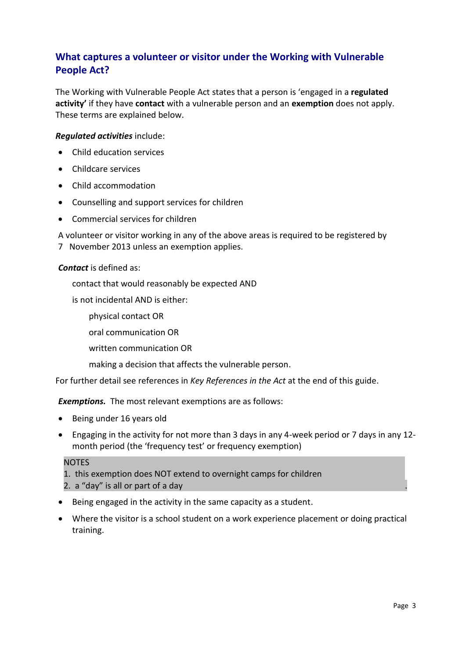# **What captures a volunteer or visitor under the Working with Vulnerable People Act?**

The Working with Vulnerable People Act states that a person is 'engaged in a **regulated activity'** if they have **contact** with a vulnerable person and an **exemption** does not apply. These terms are explained below.

### *Regulated activities* include:

- Child education services
- Childcare services
- Child accommodation
- Counselling and support services for children
- Commercial services for children

A volunteer or visitor working in any of the above areas is required to be registered by 7 November 2013 unless an exemption applies.

### *Contact* is defined as:

contact that would reasonably be expected AND

is not incidental AND is either:

physical contact OR

oral communication OR

written communication OR

making a decision that affects the vulnerable person.

For further detail see references in *Key References in the Act* at the end of this guide.

*Exemptions.* The most relevant exemptions are as follows:

- Being under 16 years old
- Engaging in the activity for not more than 3 days in any 4-week period or 7 days in any 12 month period (the 'frequency test' or frequency exemption)

#### **NOTES**

- 1. this exemption does NOT extend to overnight camps for children
- 2. a "day" is all or part of a day .
- Being engaged in the activity in the same capacity as a student.
- Where the visitor is a school student on a work experience placement or doing practical training.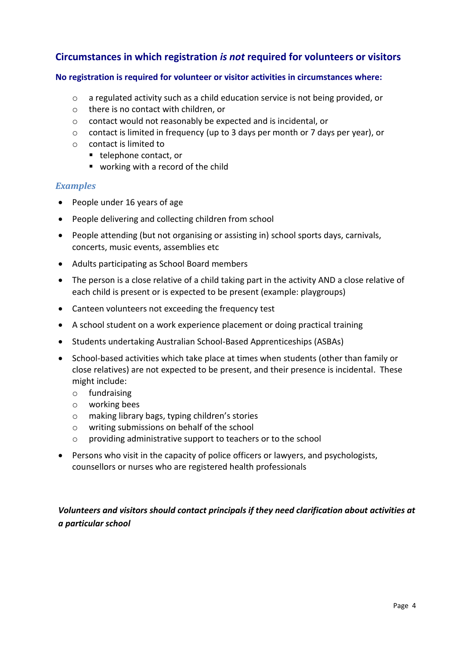# **Circumstances in which registration** *is not* **required for volunteers or visitors**

### **No registration is required for volunteer or visitor activities in circumstances where:**

- o a regulated activity such as a child education service is not being provided, or
- o there is no contact with children, or
- o contact would not reasonably be expected and is incidental, or
- o contact is limited in frequency (up to 3 days per month or 7 days per year), or
- o contact is limited to
	- telephone contact, or
	- working with a record of the child

### *Examples*

- People under 16 years of age
- People delivering and collecting children from school
- People attending (but not organising or assisting in) school sports days, carnivals, concerts, music events, assemblies etc
- Adults participating as School Board members
- The person is a close relative of a child taking part in the activity AND a close relative of each child is present or is expected to be present (example: playgroups)
- Canteen volunteers not exceeding the frequency test
- A school student on a work experience placement or doing practical training
- Students undertaking Australian School-Based Apprenticeships (ASBAs)
- School-based activities which take place at times when students (other than family or close relatives) are not expected to be present, and their presence is incidental. These might include:
	- o fundraising
	- o working bees
	- o making library bags, typing children's stories
	- o writing submissions on behalf of the school
	- o providing administrative support to teachers or to the school
- Persons who visit in the capacity of police officers or lawyers, and psychologists, counsellors or nurses who are registered health professionals

## *Volunteers and visitors should contact principals if they need clarification about activities at a particular school*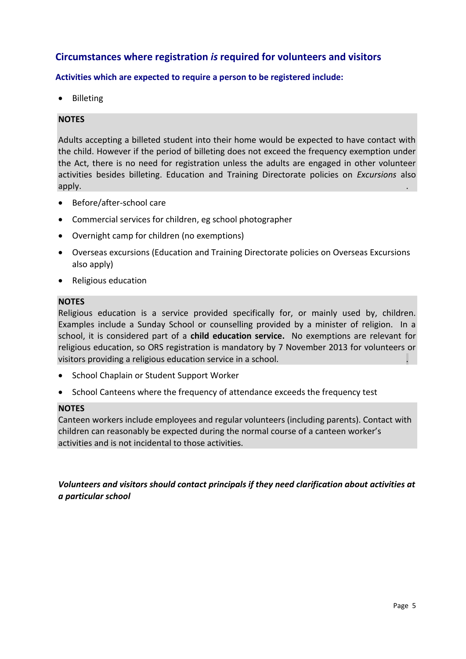# **Circumstances where registration** *is* **required for volunteers and visitors**

### **Activities which are expected to require a person to be registered include:**

Billeting

### **NOTES**

Adults accepting a billeted student into their home would be expected to have contact with the child. However if the period of billeting does not exceed the frequency exemption under the Act, there is no need for registration unless the adults are engaged in other volunteer activities besides billeting. Education and Training Directorate policies on *Excursions* also  $\mathsf{apply}.$  . The contract of the contract of the contract of the contract of the contract of the contract of the contract of the contract of the contract of the contract of the contract of the contract of the contract of th

- Before/after-school care
- Commercial services for children, eg school photographer
- Overnight camp for children (no exemptions)
- Overseas excursions (Education and Training Directorate policies on Overseas Excursions also apply)
- Religious education

#### **NOTES**

Religious education is a service provided specifically for, or mainly used by, children. Examples include a Sunday School or counselling provided by a minister of religion. In a school, it is considered part of a **child education service.** No exemptions are relevant for religious education, so ORS registration is mandatory by 7 November 2013 for volunteers or visitors providing a religious education service in a school.

- School Chaplain or Student Support Worker
- School Canteens where the frequency of attendance exceeds the frequency test

#### **NOTES**

Canteen workers include employees and regular volunteers (including parents). Contact with children can reasonably be expected during the normal course of a canteen worker's activities and is not incidental to those activities.

*Volunteers and visitors should contact principals if they need clarification about activities at a particular school*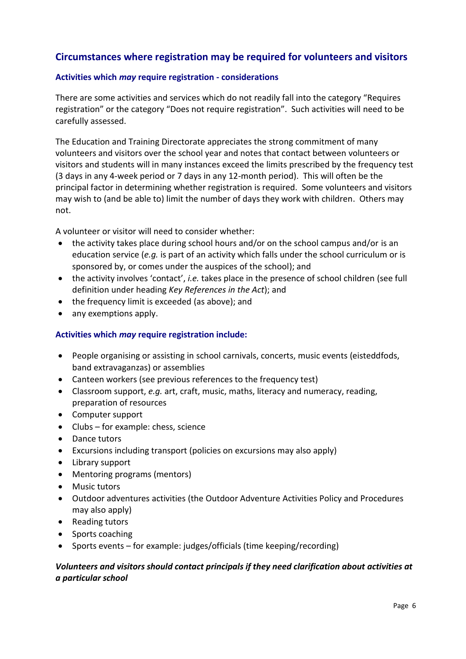# **Circumstances where registration may be required for volunteers and visitors**

### **Activities which** *may* **require registration - considerations**

There are some activities and services which do not readily fall into the category "Requires registration" or the category "Does not require registration". Such activities will need to be carefully assessed.

The Education and Training Directorate appreciates the strong commitment of many volunteers and visitors over the school year and notes that contact between volunteers or visitors and students will in many instances exceed the limits prescribed by the frequency test (3 days in any 4-week period or 7 days in any 12-month period). This will often be the principal factor in determining whether registration is required. Some volunteers and visitors may wish to (and be able to) limit the number of days they work with children. Others may not.

A volunteer or visitor will need to consider whether:

- the activity takes place during school hours and/or on the school campus and/or is an education service (*e.g.* is part of an activity which falls under the school curriculum or is sponsored by, or comes under the auspices of the school); and
- the activity involves 'contact', *i.e.* takes place in the presence of school children (see full definition under heading *Key References in the Act*); and
- the frequency limit is exceeded (as above); and
- any exemptions apply.

### **Activities which** *may* **require registration include:**

- People organising or assisting in school carnivals, concerts, music events (eisteddfods, band extravaganzas) or assemblies
- Canteen workers (see previous references to the frequency test)
- Classroom support, *e.g.* art, craft, music, maths, literacy and numeracy, reading, preparation of resources
- Computer support
- Clubs for example: chess, science
- Dance tutors
- Excursions including transport (policies on excursions may also apply)
- Library support
- Mentoring programs (mentors)
- Music tutors
- Outdoor adventures activities (the Outdoor Adventure Activities Policy and Procedures may also apply)
- Reading tutors
- Sports coaching
- Sports events for example: judges/officials (time keeping/recording)

### *Volunteers and visitors should contact principals if they need clarification about activities at a particular school*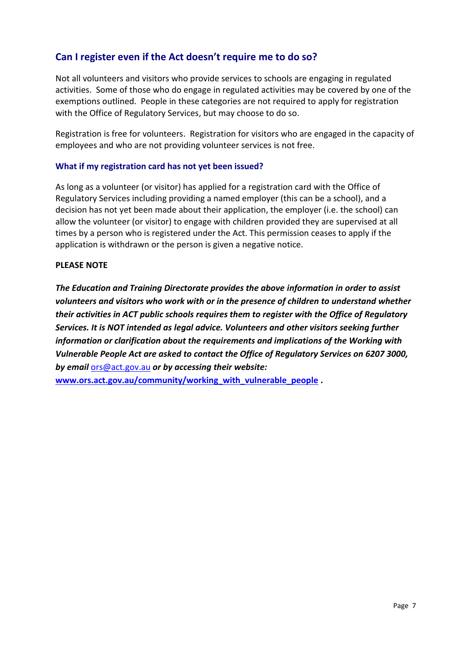# **Can I register even if the Act doesn't require me to do so?**

Not all volunteers and visitors who provide services to schools are engaging in regulated activities. Some of those who do engage in regulated activities may be covered by one of the exemptions outlined. People in these categories are not required to apply for registration with the Office of Regulatory Services, but may choose to do so.

Registration is free for volunteers. Registration for visitors who are engaged in the capacity of employees and who are not providing volunteer services is not free.

### **What if my registration card has not yet been issued?**

As long as a volunteer (or visitor) has applied for a registration card with the Office of Regulatory Services including providing a named employer (this can be a school), and a decision has not yet been made about their application, the employer (i.e. the school) can allow the volunteer (or visitor) to engage with children provided they are supervised at all times by a person who is registered under the Act. This permission ceases to apply if the application is withdrawn or the person is given a negative notice.

#### **PLEASE NOTE**

*The Education and Training Directorate provides the above information in order to assist volunteers and visitors who work with or in the presence of children to understand whether their activities in ACT public schools requires them to register with the Office of Regulatory Services. It is NOT intended as legal advice. Volunteers and other visitors seeking further information or clarification about the requirements and implications of the Working with Vulnerable People Act are asked to contact the Office of Regulatory Services on 6207 3000, by email* [ors@act.gov.au](mailto:ors@act.gov.au) *or by accessing their website:* 

**[www.ors.act.gov.au/community/working\\_with\\_vulnerable\\_people](http://www.ors.act.gov.au/community/working_with_vulnerable_people) .**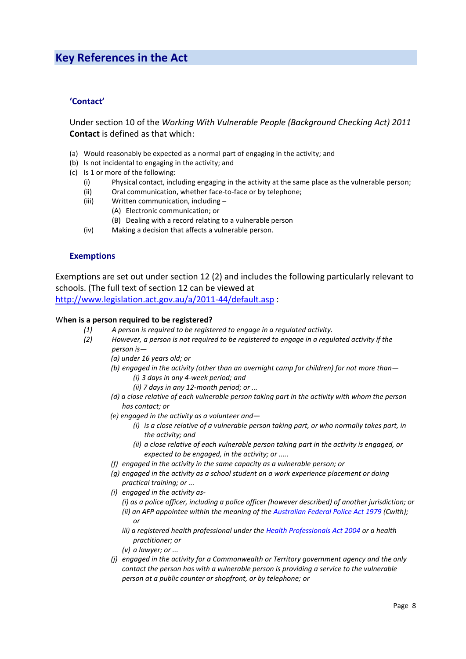# **Key References in the Act**

#### **'Contact'**

Under section 10 of the *Working With Vulnerable People (Background Checking Act) 2011* **Contact** is defined as that which:

- (a) Would reasonably be expected as a normal part of engaging in the activity; and
- (b) Is not incidental to engaging in the activity; and
- (c) Is 1 or more of the following:
	- (i) Physical contact, including engaging in the activity at the same place as the vulnerable person;
	- (ii) Oral communication, whether face-to-face or by telephone;
	- (iii) Written communication, including
		- (A) Electronic communication; or
			- (B) Dealing with a record relating to a vulnerable person
	- (iv) Making a decision that affects a vulnerable person.

#### **Exemptions**

Exemptions are set out under section 12 (2) and includes the following particularly relevant to schools. (The full text of section 12 can be viewed at

<http://www.legislation.act.gov.au/a/2011-44/default.asp> :

#### W**hen is a person required to be registered?**

- *(1) A person is required to be registered to engage in a regulated activity.*
- *(2) However, a person is not required to be registered to engage in a regulated activity if the person is—*
	- *(a) under 16 years old; or*
	- *(b) engaged in the activity (other than an overnight camp for children) for not more than— (i) 3 days in any 4-week period; and*
		- *(ii) 7 days in any 12-month period; or ...*
	- *(d) a close relative of each vulnerable person taking part in the activity with whom the person has contact; or*
	- *(e) engaged in the activity as a volunteer and—*
		- *(i) is a close relative of a vulnerable person taking part, or who normally takes part, in the activity; and*
		- *(ii) a close relative of each vulnerable person taking part in the activity is engaged, or expected to be engaged, in the activity; or .....*
	- *(f) engaged in the activity in the same capacity as a vulnerable person; or*
	- *(g) engaged in the activity as a school student on a work experience placement or doing practical training; or ...*
	- *(i) engaged in the activity as-*
		- *(i) as a police officer, including a police officer (however described) of another jurisdiction; or (ii) an AFP appointee within the meaning of the [Australian Federal Police Act 1979](http://www.comlaw.gov.au/Series/C2004A02068) (Cwlth); or*
		- *iii) a registered health professional under the [Health Professionals Act 2004](http://www.legislation.act.gov.au/a/2004-38) or a health practitioner; or*
		- *(v) a lawyer; or ...*
	- *(j) engaged in the activity for a Commonwealth or Territory government agency and the only contact the person has with a vulnerable person is providing a service to the vulnerable person at a public counter or shopfront, or by telephone; or*